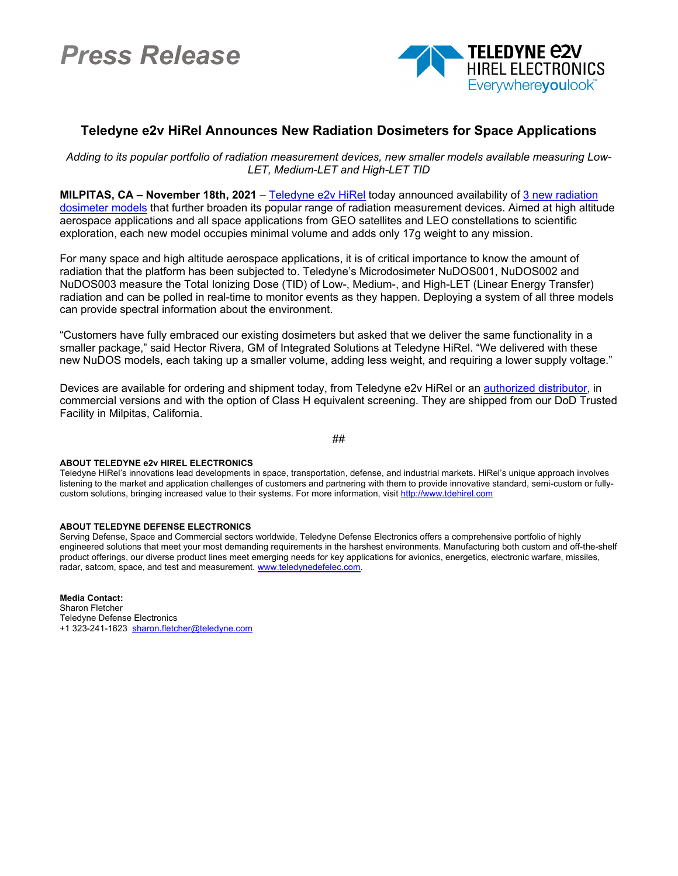## *Press Release*



## **Teledyne e2v HiRel Announces New Radiation Dosimeters for Space Applications**

*Adding to its popular portfolio of radiation measurement devices, new smaller models available measuring Low-LET, Medium-LET and High-LET TID*

**MILPITAS, CA – November 18th, 2021** – [Teledyne e2v](https://www.teledynedefenseelectronics.com/e2vhrel/Pages/About%20Us.aspx) HiRel today announced availability of [3 new radiation](https://www.teledynedefenseelectronics.com/e2vhrel/products/Pages/Radiation%20Micro%20Dosimeter.aspx)  [dosimeter models](https://www.teledynedefenseelectronics.com/e2vhrel/products/Pages/Radiation%20Micro%20Dosimeter.aspx) that further broaden its popular range of radiation measurement devices. Aimed at high altitude aerospace applications and all space applications from GEO satellites and LEO constellations to scientific exploration, each new model occupies minimal volume and adds only 17g weight to any mission.

For many space and high altitude aerospace applications, it is of critical importance to know the amount of radiation that the platform has been subjected to. Teledyne's Microdosimeter NuDOS001, NuDOS002 and NuDOS003 measure the Total Ionizing Dose (TID) of Low-, Medium-, and High-LET (Linear Energy Transfer) radiation and can be polled in real-time to monitor events as they happen. Deploying a system of all three models can provide spectral information about the environment.

"Customers have fully embraced our existing dosimeters but asked that we deliver the same functionality in a smaller package," said Hector Rivera, GM of Integrated Solutions at Teledyne HiRel. "We delivered with these new NuDOS models, each taking up a smaller volume, adding less weight, and requiring a lower supply voltage."

Devices are available for ordering and shipment today, from Teledyne e2v HiRel or an [authorized distributor,](https://www.teledynedefenseelectronics.com/e2vhrel/Pages/Where-to-Buy.aspx) in commercial versions and with the option of Class H equivalent screening. They are shipped from our DoD Trusted Facility in Milpitas, California.

##

## **ABOUT TELEDYNE e2v HIREL ELECTRONICS**

Teledyne HiRel's innovations lead developments in space, transportation, defense, and industrial markets. HiRel's unique approach involves listening to the market and application challenges of customers and partnering with them to provide innovative standard, semi-custom or fullycustom solutions, bringing increased value to their systems. For more information, visit [http://www.tdehirel.com](http://www.tdehirel.com/)

## **ABOUT TELEDYNE DEFENSE ELECTRONICS**

Serving Defense, Space and Commercial sectors worldwide, Teledyne Defense Electronics offers a comprehensive portfolio of highly engineered solutions that meet your most demanding requirements in the harshest environments. Manufacturing both custom and off-the-shelf product offerings, our diverse product lines meet emerging needs for key applications for avionics, energetics, electronic warfare, missiles, radar, satcom, space, and test and measurement. www.teledynedefelec.com.

**Media Contact:** Sharon Fletcher Teledyne Defense Electronics +1 323-241-1623 [sharon.fletcher@teledyne.com](mailto:sharon.fletcher@teledyne.com)